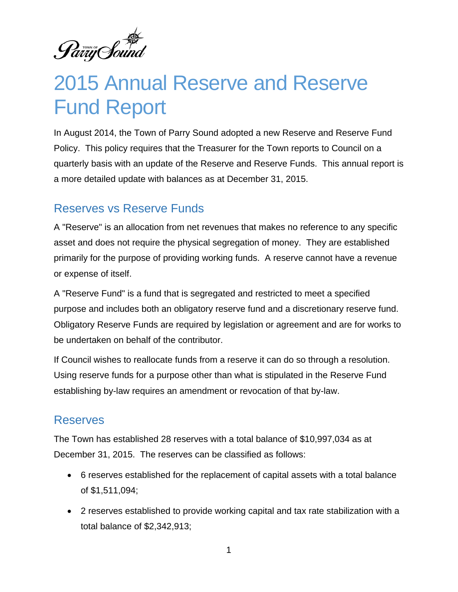Pariy Sound

# 2015 Annual Reserve and Reserve Fund Report

In August 2014, the Town of Parry Sound adopted a new Reserve and Reserve Fund Policy. This policy requires that the Treasurer for the Town reports to Council on a quarterly basis with an update of the Reserve and Reserve Funds. This annual report is a more detailed update with balances as at December 31, 2015.

## Reserves vs Reserve Funds

A "Reserve" is an allocation from net revenues that makes no reference to any specific asset and does not require the physical segregation of money. They are established primarily for the purpose of providing working funds. A reserve cannot have a revenue or expense of itself.

A "Reserve Fund" is a fund that is segregated and restricted to meet a specified purpose and includes both an obligatory reserve fund and a discretionary reserve fund. Obligatory Reserve Funds are required by legislation or agreement and are for works to be undertaken on behalf of the contributor.

If Council wishes to reallocate funds from a reserve it can do so through a resolution. Using reserve funds for a purpose other than what is stipulated in the Reserve Fund establishing by-law requires an amendment or revocation of that by-law.

## Reserves

The Town has established 28 reserves with a total balance of \$10,997,034 as at December 31, 2015. The reserves can be classified as follows:

- 6 reserves established for the replacement of capital assets with a total balance of \$1,511,094;
- 2 reserves established to provide working capital and tax rate stabilization with a total balance of \$2,342,913;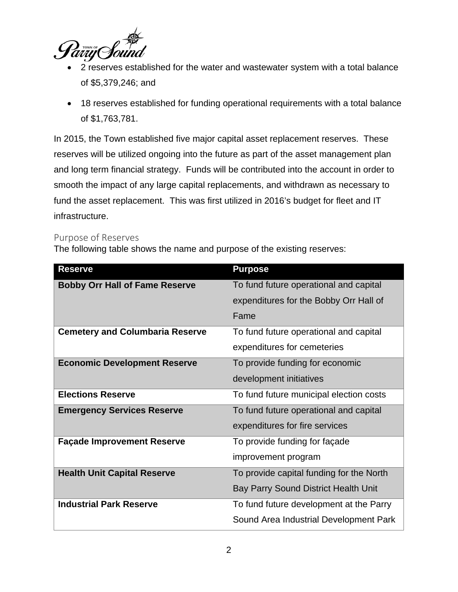

- 2 reserves established for the water and wastewater system with a total balance of \$5,379,246; and
- 18 reserves established for funding operational requirements with a total balance of \$1,763,781.

In 2015, the Town established five major capital asset replacement reserves. These reserves will be utilized ongoing into the future as part of the asset management plan and long term financial strategy. Funds will be contributed into the account in order to smooth the impact of any large capital replacements, and withdrawn as necessary to fund the asset replacement. This was first utilized in 2016's budget for fleet and IT infrastructure.

### Purpose of Reserves

The following table shows the name and purpose of the existing reserves:

| <b>Reserve</b>                         | <b>Purpose</b>                              |
|----------------------------------------|---------------------------------------------|
| <b>Bobby Orr Hall of Fame Reserve</b>  | To fund future operational and capital      |
|                                        | expenditures for the Bobby Orr Hall of      |
|                                        | Fame                                        |
| <b>Cemetery and Columbaria Reserve</b> | To fund future operational and capital      |
|                                        | expenditures for cemeteries                 |
| <b>Economic Development Reserve</b>    | To provide funding for economic             |
|                                        | development initiatives                     |
| <b>Elections Reserve</b>               | To fund future municipal election costs     |
| <b>Emergency Services Reserve</b>      | To fund future operational and capital      |
|                                        | expenditures for fire services              |
| <b>Façade Improvement Reserve</b>      | To provide funding for façade               |
|                                        | improvement program                         |
| <b>Health Unit Capital Reserve</b>     | To provide capital funding for the North    |
|                                        | <b>Bay Parry Sound District Health Unit</b> |
| <b>Industrial Park Reserve</b>         | To fund future development at the Parry     |
|                                        | Sound Area Industrial Development Park      |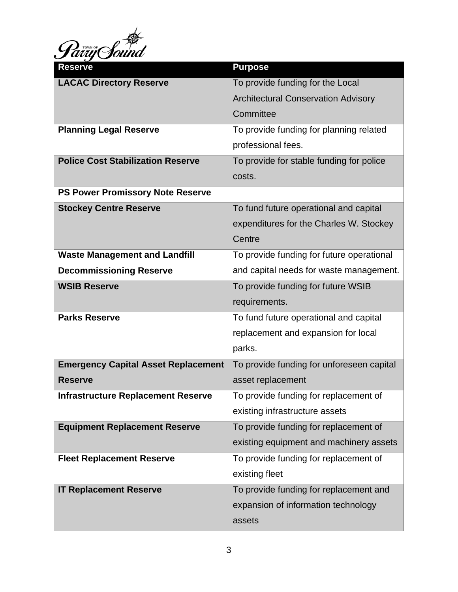

| <b>Reserve</b>                             | <b>Purpose</b>                             |
|--------------------------------------------|--------------------------------------------|
| <b>LACAC Directory Reserve</b>             | To provide funding for the Local           |
|                                            | <b>Architectural Conservation Advisory</b> |
|                                            | Committee                                  |
| <b>Planning Legal Reserve</b>              | To provide funding for planning related    |
|                                            | professional fees.                         |
| <b>Police Cost Stabilization Reserve</b>   | To provide for stable funding for police   |
|                                            | costs.                                     |
| <b>PS Power Promissory Note Reserve</b>    |                                            |
| <b>Stockey Centre Reserve</b>              | To fund future operational and capital     |
|                                            | expenditures for the Charles W. Stockey    |
|                                            | Centre                                     |
| <b>Waste Management and Landfill</b>       | To provide funding for future operational  |
| <b>Decommissioning Reserve</b>             | and capital needs for waste management.    |
| <b>WSIB Reserve</b>                        | To provide funding for future WSIB         |
|                                            | requirements.                              |
| <b>Parks Reserve</b>                       | To fund future operational and capital     |
|                                            | replacement and expansion for local        |
|                                            | parks.                                     |
| <b>Emergency Capital Asset Replacement</b> | To provide funding for unforeseen capital  |
| <b>Reserve</b>                             | asset replacement                          |
| <b>Infrastructure Replacement Reserve</b>  | To provide funding for replacement of      |
|                                            | existing infrastructure assets             |
| <b>Equipment Replacement Reserve</b>       | To provide funding for replacement of      |
|                                            | existing equipment and machinery assets    |
| <b>Fleet Replacement Reserve</b>           | To provide funding for replacement of      |
|                                            | existing fleet                             |
| <b>IT Replacement Reserve</b>              | To provide funding for replacement and     |
|                                            | expansion of information technology        |
|                                            | assets                                     |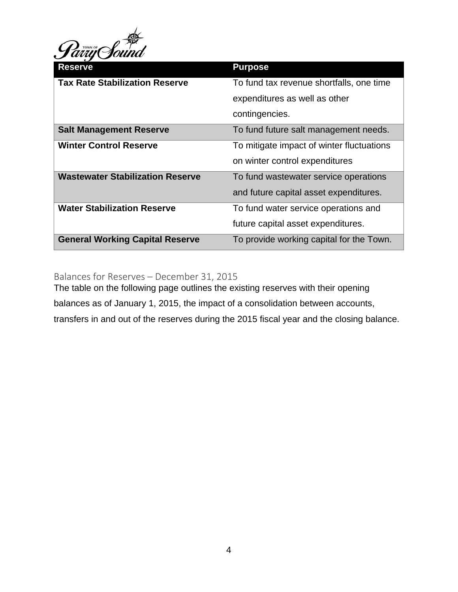

| <b>Reserve</b>                          | <b>Purpose</b>                            |
|-----------------------------------------|-------------------------------------------|
| <b>Tax Rate Stabilization Reserve</b>   | To fund tax revenue shortfalls, one time  |
|                                         | expenditures as well as other             |
|                                         | contingencies.                            |
| <b>Salt Management Reserve</b>          | To fund future salt management needs.     |
| <b>Winter Control Reserve</b>           | To mitigate impact of winter fluctuations |
|                                         | on winter control expenditures            |
| <b>Wastewater Stabilization Reserve</b> | To fund wastewater service operations     |
|                                         | and future capital asset expenditures.    |
| <b>Water Stabilization Reserve</b>      | To fund water service operations and      |
|                                         | future capital asset expenditures.        |
| <b>General Working Capital Reserve</b>  | To provide working capital for the Town.  |

Balances for Reserves – December 31, 2015

The table on the following page outlines the existing reserves with their opening balances as of January 1, 2015, the impact of a consolidation between accounts, transfers in and out of the reserves during the 2015 fiscal year and the closing balance.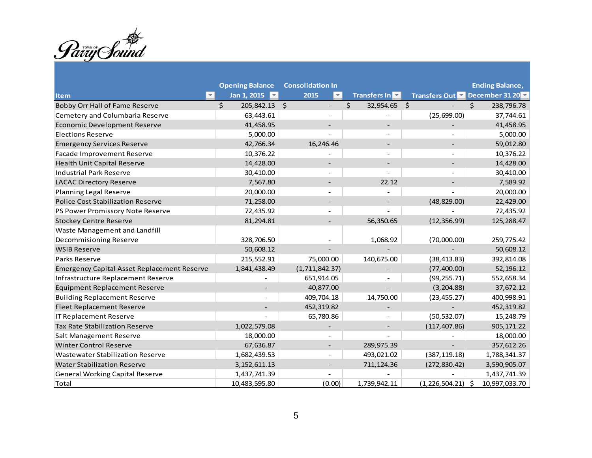Pariy Sound

|                                                    | <b>Opening Balance</b> |  | <b>Consolidation In</b>  |                    |       |                              | <b>Ending Balance,</b> |               |
|----------------------------------------------------|------------------------|--|--------------------------|--------------------|-------|------------------------------|------------------------|---------------|
| ×.<br>ltem                                         | Jan 1, 2015            |  | 2015<br>▼∣               | Transfers In       |       | Transfers Out December 31 20 |                        |               |
| <b>Bobby Orr Hall of Fame Reserve</b>              | \$<br>205,842.13 \$    |  | $\overline{\phantom{a}}$ | \$<br>32,954.65 \$ |       |                              | Ś.                     | 238,796.78    |
| Cemetery and Columbaria Reserve                    | 63,443.61              |  | $\overline{\phantom{a}}$ |                    |       | (25,699.00)                  |                        | 37,744.61     |
| <b>Economic Development Reserve</b>                | 41,458.95              |  |                          |                    |       |                              |                        | 41,458.95     |
| <b>Elections Reserve</b>                           | 5,000.00               |  |                          |                    |       |                              |                        | 5,000.00      |
| <b>Emergency Services Reserve</b>                  | 42,766.34              |  | 16,246.46                |                    |       |                              |                        | 59,012.80     |
| Facade Improvement Reserve                         | 10,376.22              |  |                          |                    |       |                              |                        | 10,376.22     |
| Health Unit Capital Reserve                        | 14,428.00              |  |                          |                    |       |                              |                        | 14,428.00     |
| <b>Industrial Park Reserve</b>                     | 30,410.00              |  |                          |                    |       |                              |                        | 30,410.00     |
| <b>LACAC Directory Reserve</b>                     | 7,567.80               |  |                          |                    | 22.12 |                              |                        | 7,589.92      |
| Planning Legal Reserve                             | 20,000.00              |  | $\overline{\phantom{0}}$ |                    |       |                              |                        | 20,000.00     |
| <b>Police Cost Stabilization Reserve</b>           | 71,258.00              |  |                          |                    |       | (48, 829.00)                 |                        | 22,429.00     |
| PS Power Promissory Note Reserve                   | 72,435.92              |  |                          |                    |       |                              |                        | 72,435.92     |
| <b>Stockey Centre Reserve</b>                      | 81,294.81              |  |                          | 56,350.65          |       | (12, 356.99)                 |                        | 125,288.47    |
| Waste Management and Landfill                      |                        |  |                          |                    |       |                              |                        |               |
| Decommisioning Reserve                             | 328,706.50             |  |                          | 1,068.92           |       | (70,000.00)                  |                        | 259,775.42    |
| <b>WSIB Reserve</b>                                | 50,608.12              |  |                          |                    |       |                              |                        | 50,608.12     |
| Parks Reserve                                      | 215,552.91             |  | 75,000.00                | 140,675.00         |       | (38, 413.83)                 |                        | 392,814.08    |
| <b>Emergency Capital Asset Replacement Reserve</b> | 1,841,438.49           |  | (1, 711, 842.37)         |                    |       | (77, 400.00)                 |                        | 52,196.12     |
| Infrastructure Replacement Reserve                 |                        |  | 651,914.05               |                    |       | (99, 255.71)                 |                        | 552,658.34    |
| <b>Equipment Replacement Reserve</b>               |                        |  | 40,877.00                |                    |       | (3,204.88)                   |                        | 37,672.12     |
| <b>Building Replacement Reserve</b>                |                        |  | 409,704.18               | 14,750.00          |       | (23, 455.27)                 |                        | 400,998.91    |
| Fleet Replacement Reserve                          |                        |  | 452,319.82               |                    |       |                              |                        | 452,319.82    |
| IT Replacement Reserve                             |                        |  | 65,780.86                |                    |       | (50, 532.07)                 |                        | 15,248.79     |
| Tax Rate Stabilization Reserve                     | 1,022,579.08           |  |                          |                    |       | (117, 407.86)                |                        | 905,171.22    |
| Salt Management Reserve                            | 18,000.00              |  |                          |                    |       |                              |                        | 18,000.00     |
| <b>Winter Control Reserve</b>                      | 67,636.87              |  |                          | 289,975.39         |       |                              |                        | 357,612.26    |
| <b>Wastewater Stabilization Reserve</b>            | 1,682,439.53           |  |                          | 493,021.02         |       | (387, 119.18)                |                        | 1,788,341.37  |
| <b>Water Stabilization Reserve</b>                 | 3, 152, 611.13         |  |                          | 711, 124.36        |       | (272, 830.42)                |                        | 3,590,905.07  |
| <b>General Working Capital Reserve</b>             | 1,437,741.39           |  |                          |                    |       |                              |                        | 1,437,741.39  |
| Total                                              | 10,483,595.80          |  | (0.00)                   | 1,739,942.11       |       | $(1,226,504.21)$ \$          |                        | 10,997,033.70 |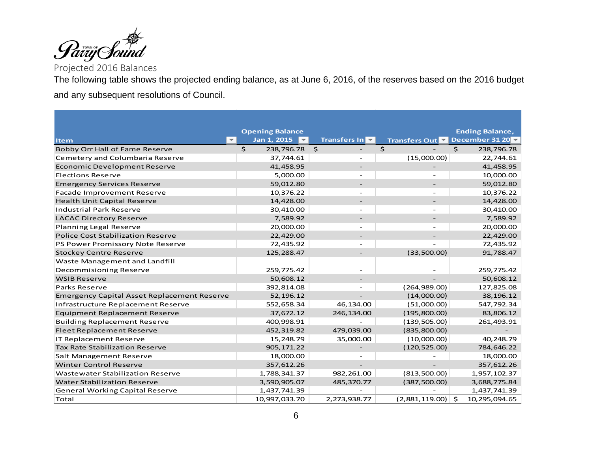

Projected 2016 Balances

The following table shows the projected ending balance, as at June 6, 2016, of the reserves based on the 2016 budget and any subsequent resolutions of Council.

|                                                    | <b>Opening Balance</b> |          |                          |                | <b>Ending Balance,</b> |           |
|----------------------------------------------------|------------------------|----------|--------------------------|----------------|------------------------|-----------|
| ÷.<br><b>Item</b>                                  | Jan 1, 2015<br>÷.      |          | Transfers In             | Transfers Out  | December 31 20 $\sim$  |           |
| <b>Bobby Orr Hall of Fame Reserve</b>              | \$<br>238,796.78       | <b>S</b> |                          | $\varsigma$    | Ś.<br>238,796.78       |           |
| Cemetery and Columbaria Reserve                    | 37,744.61              |          |                          | (15,000.00)    |                        | 22,744.61 |
| <b>Economic Development Reserve</b>                | 41,458.95              |          |                          |                |                        | 41,458.95 |
| <b>Elections Reserve</b>                           | 5,000.00               |          |                          |                |                        | 10,000.00 |
| <b>Emergency Services Reserve</b>                  | 59,012.80              |          | $\overline{\phantom{0}}$ |                |                        | 59,012.80 |
| Facade Improvement Reserve                         | 10,376.22              |          |                          |                |                        | 10,376.22 |
| <b>Health Unit Capital Reserve</b>                 | 14,428.00              |          | $\overline{\phantom{0}}$ |                |                        | 14,428.00 |
| <b>Industrial Park Reserve</b>                     | 30,410.00              |          |                          |                |                        | 30,410.00 |
| <b>LACAC Directory Reserve</b>                     | 7,589.92               |          |                          |                |                        | 7,589.92  |
| <b>Planning Legal Reserve</b>                      | 20,000.00              |          |                          |                |                        | 20,000.00 |
| <b>Police Cost Stabilization Reserve</b>           | 22,429.00              |          |                          |                |                        | 22,429.00 |
| PS Power Promissory Note Reserve                   | 72,435.92              |          |                          |                |                        | 72,435.92 |
| <b>Stockey Centre Reserve</b>                      | 125,288.47             |          |                          | (33,500.00)    |                        | 91,788.47 |
| Waste Management and Landfill                      |                        |          |                          |                |                        |           |
| Decommisioning Reserve                             | 259,775.42             |          |                          |                | 259,775.42             |           |
| <b>WSIB Reserve</b>                                | 50,608.12              |          | $\overline{\phantom{0}}$ |                |                        | 50,608.12 |
| <b>Parks Reserve</b>                               | 392,814.08             |          |                          | (264,989.00)   | 127,825.08             |           |
| <b>Emergency Capital Asset Replacement Reserve</b> | 52,196.12              |          |                          | (14,000.00)    |                        | 38,196.12 |
| Infrastructure Replacement Reserve                 | 552,658.34             |          | 46,134.00                | (51,000.00)    | 547,792.34             |           |
| <b>Equipment Replacement Reserve</b>               | 37,672.12              |          | 246,134.00               | (195,800.00)   |                        | 83,806.12 |
| <b>Building Replacement Reserve</b>                | 400,998.91             |          |                          | (139, 505.00)  | 261,493.91             |           |
| <b>Fleet Replacement Reserve</b>                   | 452,319.82             |          | 479,039.00               | (835, 800.00)  |                        |           |
| <b>IT Replacement Reserve</b>                      | 15,248.79              |          | 35,000.00                | (10,000.00)    |                        | 40,248.79 |
| <b>Tax Rate Stabilization Reserve</b>              | 905,171.22             |          |                          | (120, 525.00)  | 784,646.22             |           |
| Salt Management Reserve                            | 18,000.00              |          |                          |                |                        | 18,000.00 |
| <b>Winter Control Reserve</b>                      | 357,612.26             |          |                          |                | 357,612.26             |           |
| <b>Wastewater Stabilization Reserve</b>            | 1,788,341.37           |          | 982,261.00               | (813,500.00)   | 1,957,102.37           |           |
| <b>Water Stabilization Reserve</b>                 | 3,590,905.07           |          | 485,370.77               | (387, 500.00)  | 3,688,775.84           |           |
| <b>General Working Capital Reserve</b>             | 1,437,741.39           |          |                          |                | 1,437,741.39           |           |
| Total                                              | 10,997,033.70          |          | 2,273,938.77             | (2,881,119.00) | Ś<br>10,295,094.65     |           |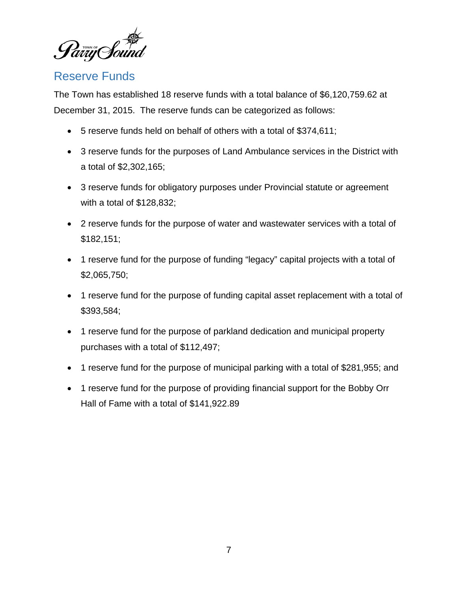Parry Sound

## Reserve Funds

The Town has established 18 reserve funds with a total balance of \$6,120,759.62 at December 31, 2015. The reserve funds can be categorized as follows:

- 5 reserve funds held on behalf of others with a total of \$374,611;
- 3 reserve funds for the purposes of Land Ambulance services in the District with a total of \$2,302,165;
- 3 reserve funds for obligatory purposes under Provincial statute or agreement with a total of \$128,832;
- 2 reserve funds for the purpose of water and wastewater services with a total of \$182,151;
- 1 reserve fund for the purpose of funding "legacy" capital projects with a total of \$2,065,750;
- 1 reserve fund for the purpose of funding capital asset replacement with a total of \$393,584;
- 1 reserve fund for the purpose of parkland dedication and municipal property purchases with a total of \$112,497;
- 1 reserve fund for the purpose of municipal parking with a total of \$281,955; and
- 1 reserve fund for the purpose of providing financial support for the Bobby Orr Hall of Fame with a total of \$141,922.89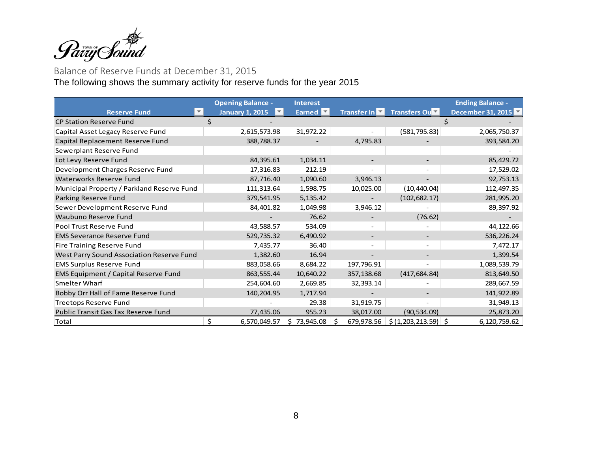

#### Balance of Reserve Funds at December 31, 2015

The following shows the summary activity for reserve funds for the year 2015

|                                             | <b>Opening Balance -</b> | <b>Interest</b> |                            | <b>Ending Balance -</b>         |                   |  |
|---------------------------------------------|--------------------------|-----------------|----------------------------|---------------------------------|-------------------|--|
| <b>Reserve Fund</b>                         | <b>January 1, 2015</b>   | Earned <b>M</b> | Transfer In $\blacksquare$ | Transfers Ou                    | December 31, 2015 |  |
| <b>CP Station Reserve Fund</b>              |                          |                 |                            |                                 |                   |  |
| Capital Asset Legacy Reserve Fund           | 2,615,573.98             | 31,972.22       |                            | (581, 795.83)                   | 2,065,750.37      |  |
| Capital Replacement Reserve Fund            | 388,788.37               |                 | 4,795.83                   |                                 | 393,584.20        |  |
| Sewerplant Reserve Fund                     |                          |                 |                            |                                 |                   |  |
| Lot Levy Reserve Fund                       | 84,395.61                | 1,034.11        |                            |                                 | 85,429.72         |  |
| Development Charges Reserve Fund            | 17,316.83                | 212.19          |                            |                                 | 17,529.02         |  |
| <b>Waterworks Reserve Fund</b>              | 87,716.40                | 1,090.60        | 3,946.13                   |                                 | 92,753.13         |  |
| Municipal Property / Parkland Reserve Fund  | 111,313.64               | 1,598.75        | 10,025.00                  | (10, 440.04)                    | 112,497.35        |  |
| Parking Reserve Fund                        | 379,541.95               | 5,135.42        |                            | (102, 682.17)                   | 281,995.20        |  |
| Sewer Development Reserve Fund              | 84,401.82                | 1,049.98        | 3,946.12                   |                                 | 89,397.92         |  |
| Waubuno Reserve Fund                        |                          | 76.62           |                            | (76.62)                         |                   |  |
| Pool Trust Reserve Fund                     | 43,588.57                | 534.09          |                            |                                 | 44,122.66         |  |
| <b>EMS Severance Reserve Fund</b>           | 529,735.32               | 6,490.92        |                            |                                 | 536,226.24        |  |
| Fire Training Reserve Fund                  | 7,435.77                 | 36.40           |                            | $\overline{\phantom{a}}$        | 7,472.17          |  |
| West Parry Sound Association Reserve Fund   | 1,382.60                 | 16.94           |                            |                                 | 1,399.54          |  |
| <b>EMS Surplus Reserve Fund</b>             | 883,058.66               | 8,684.22        | 197,796.91                 |                                 | 1,089,539.79      |  |
| <b>EMS Equipment / Capital Reserve Fund</b> | 863,555.44               | 10,640.22       | 357,138.68                 | (417, 684.84)                   | 813,649.50        |  |
| <b>Smelter Wharf</b>                        | 254,604.60               | 2,669.85        | 32,393.14                  |                                 | 289,667.59        |  |
| Bobby Orr Hall of Fame Reserve Fund         | 140,204.95               | 1,717.94        |                            |                                 | 141,922.89        |  |
| Treetops Reserve Fund                       |                          | 29.38           | 31,919.75                  |                                 | 31,949.13         |  |
| Public Transit Gas Tax Reserve Fund         | 77,435.06                | 955.23          | 38,017.00                  | (90, 534.09)                    | 25,873.20         |  |
| Total                                       | Ś.<br>6,570,049.57       | 73,945.08<br>S  | 679,978.56                 | $\frac{1}{2}$ (1,203,213.59) \$ | 6,120,759.62      |  |